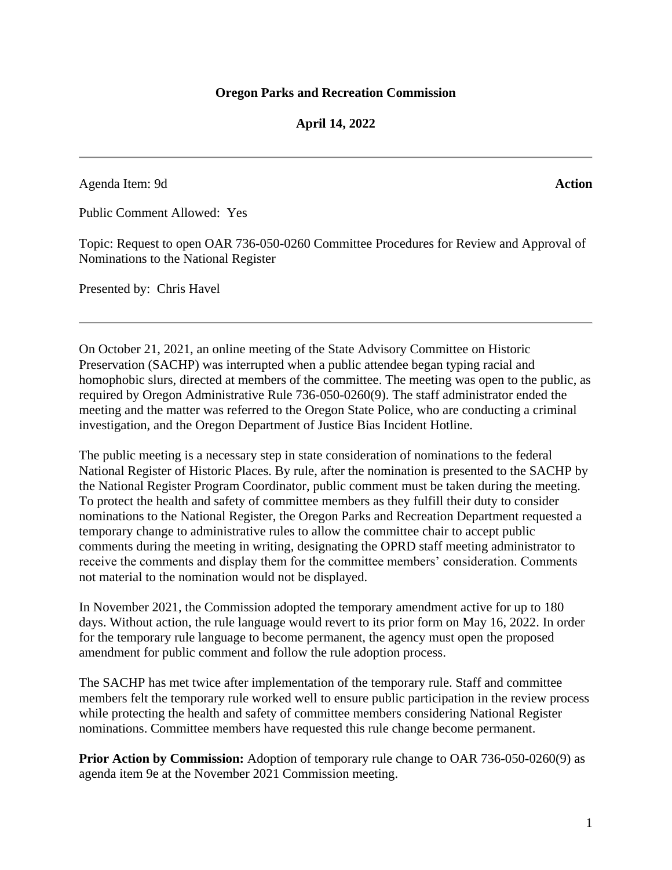## **April 14, 2022**

Agenda Item: 9d **Action**

Public Comment Allowed: Yes

Topic: Request to open OAR 736-050-0260 Committee Procedures for Review and Approval of Nominations to the National Register

Presented by: Chris Havel

On October 21, 2021, an online meeting of the State Advisory Committee on Historic Preservation (SACHP) was interrupted when a public attendee began typing racial and homophobic slurs, directed at members of the committee. The meeting was open to the public, as required by Oregon Administrative Rule 736-050-0260(9). The staff administrator ended the meeting and the matter was referred to the Oregon State Police, who are conducting a criminal investigation, and the Oregon Department of Justice Bias Incident Hotline.

The public meeting is a necessary step in state consideration of nominations to the federal National Register of Historic Places. By rule, after the nomination is presented to the SACHP by the National Register Program Coordinator, public comment must be taken during the meeting. To protect the health and safety of committee members as they fulfill their duty to consider nominations to the National Register, the Oregon Parks and Recreation Department requested a temporary change to administrative rules to allow the committee chair to accept public comments during the meeting in writing, designating the OPRD staff meeting administrator to receive the comments and display them for the committee members' consideration. Comments not material to the nomination would not be displayed.

In November 2021, the Commission adopted the temporary amendment active for up to 180 days. Without action, the rule language would revert to its prior form on May 16, 2022. In order for the temporary rule language to become permanent, the agency must open the proposed amendment for public comment and follow the rule adoption process.

The SACHP has met twice after implementation of the temporary rule. Staff and committee members felt the temporary rule worked well to ensure public participation in the review process while protecting the health and safety of committee members considering National Register nominations. Committee members have requested this rule change become permanent.

**Prior Action by Commission:** Adoption of temporary rule change to OAR 736-050-0260(9) as agenda item 9e at the November 2021 Commission meeting.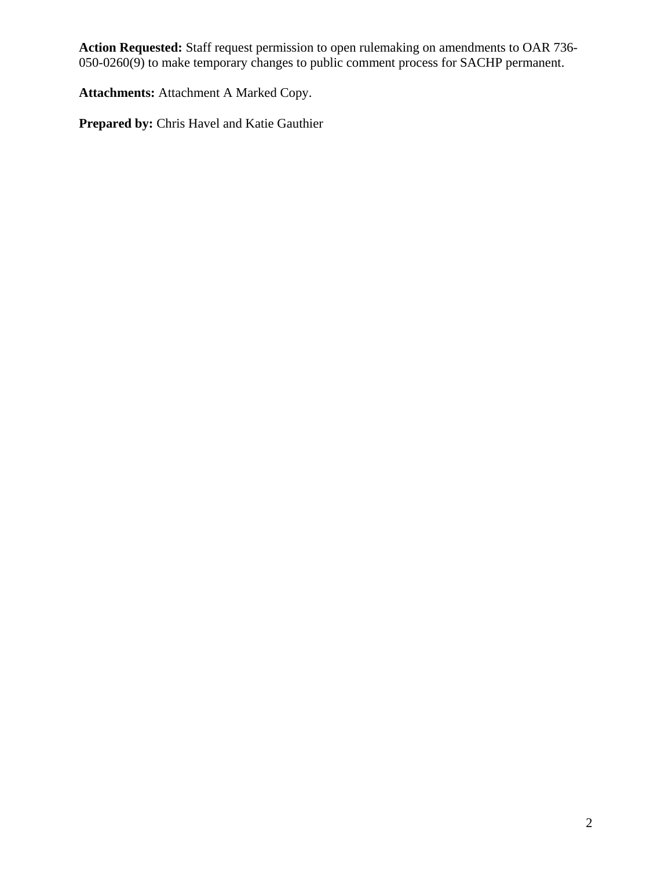**Action Requested:** Staff request permission to open rulemaking on amendments to OAR 736- 050-0260(9) to make temporary changes to public comment process for SACHP permanent.

**Attachments:** Attachment A Marked Copy.

**Prepared by:** Chris Havel and Katie Gauthier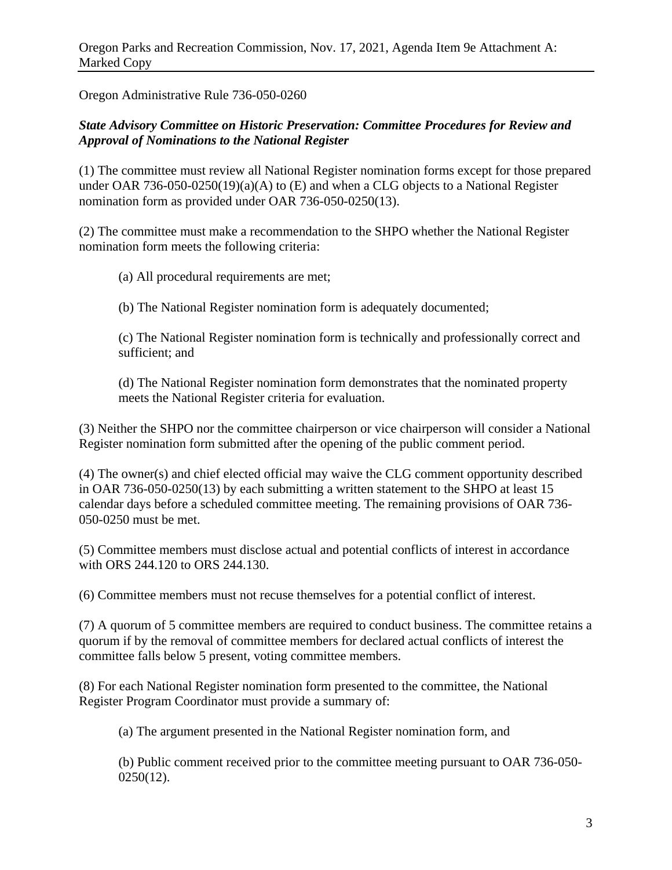Oregon Administrative Rule 736-050-0260

## *State Advisory Committee on Historic Preservation: Committee Procedures for Review and Approval of Nominations to the National Register*

(1) The committee must review all National Register nomination forms except for those prepared under OAR 736-050-0250(19)(a)(A) to  $(E)$  and when a CLG objects to a National Register nomination form as provided under OAR 736-050-0250(13).

(2) The committee must make a recommendation to the SHPO whether the National Register nomination form meets the following criteria:

(a) All procedural requirements are met;

(b) The National Register nomination form is adequately documented;

(c) The National Register nomination form is technically and professionally correct and sufficient; and

(d) The National Register nomination form demonstrates that the nominated property meets the National Register criteria for evaluation.

(3) Neither the SHPO nor the committee chairperson or vice chairperson will consider a National Register nomination form submitted after the opening of the public comment period.

(4) The owner(s) and chief elected official may waive the CLG comment opportunity described in OAR 736-050-0250(13) by each submitting a written statement to the SHPO at least 15 calendar days before a scheduled committee meeting. The remaining provisions of OAR 736- 050-0250 must be met.

(5) Committee members must disclose actual and potential conflicts of interest in accordance with ORS 244.120 to ORS 244.130.

(6) Committee members must not recuse themselves for a potential conflict of interest.

(7) A quorum of 5 committee members are required to conduct business. The committee retains a quorum if by the removal of committee members for declared actual conflicts of interest the committee falls below 5 present, voting committee members.

(8) For each National Register nomination form presented to the committee, the National Register Program Coordinator must provide a summary of:

(a) The argument presented in the National Register nomination form, and

(b) Public comment received prior to the committee meeting pursuant to OAR 736-050- 0250(12).